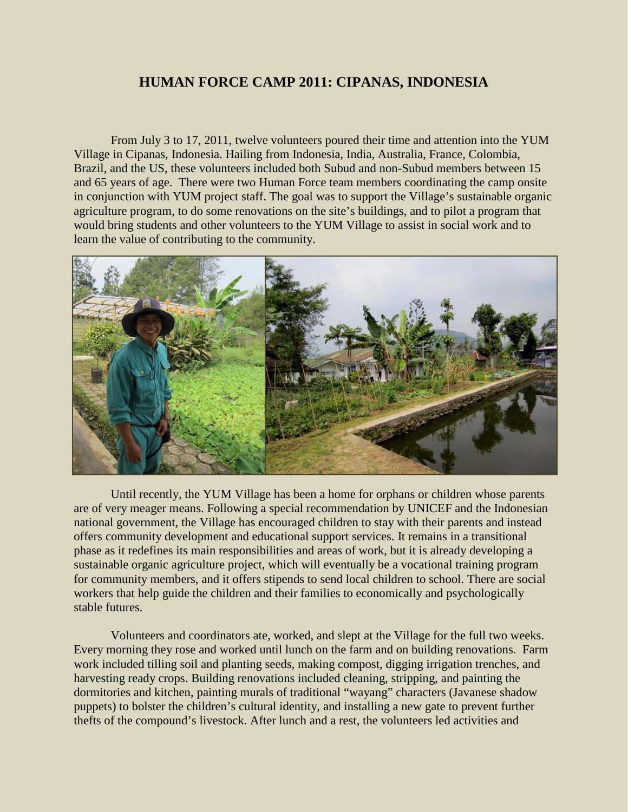## **HUMAN FORCE CAMP 2011: CIPANAS, INDONESIA**

From July 3 to 17, 2011, twelve volunteers poured their time and attention into the YUM Village in Cipanas, Indonesia. Hailing from Indonesia, India, Australia, France, Colombia, Brazil, and the US, these volunteers included both Subud and non-Subud members between 15 and 65 years of age. There were two Human Force team members coordinating the camp onsite in conjunction with YUM project staff. The goal was to support the Village's sustainable organic agriculture program, to do some renovations on the site's buildings, and to pilot a program that would bring students and other volunteers to the YUM Village to assist in social work and to learn the value of contributing to the community.



Until recently, the YUM Village has been a home for orphans or children whose parents are of very meager means. Following a special recommendation by UNICEF and the Indonesian national government, the Village has encouraged children to stay with their parents and instead offers community development and educational support services. It remains in a transitional phase as it redefines its main responsibilities and areas of work, but it is already developing a sustainable organic agriculture project, which will eventually be a vocational training program for community members, and it offers stipends to send local children to school. There are social workers that help guide the children and their families to economically and psychologically stable futures.

Volunteers and coordinators ate, worked, and slept at the Village for the full two weeks. Every morning they rose and worked until lunch on the farm and on building renovations. Farm work included tilling soil and planting seeds, making compost, digging irrigation trenches, and harvesting ready crops. Building renovations included cleaning, stripping, and painting the dormitories and kitchen, painting murals of traditional "wayang" characters (Javanese shadow puppets) to bolster the children's cultural identity, and installing a new gate to prevent further thefts of the compound's livestock. After lunch and a rest, the volunteers led activities and